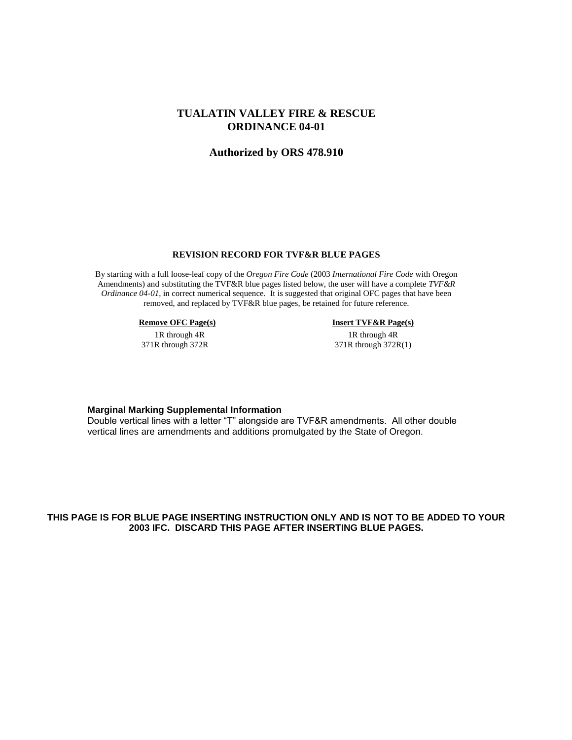# **TUALATIN VALLEY FIRE & RESCUE ORDINANCE 04-01**

**Authorized by ORS 478.910**

### **REVISION RECORD FOR TVF&R BLUE PAGES**

By starting with a full loose-leaf copy of the *Oregon Fire Code* (2003 *International Fire Code* with Oregon Amendments) and substituting the TVF&R blue pages listed below, the user will have a complete *TVF&R Ordinance 04-01*, in correct numerical sequence. It is suggested that original OFC pages that have been removed, and replaced by TVF&R blue pages, be retained for future reference.

**Remove OFC Page(s) Insert TVF&R Page(s)**

1R through 4R 1R through 372R 1R through 372R 371R through 372R

371R through 372R(1)

#### **Marginal Marking Supplemental Information**

Double vertical lines with a letter "T" alongside are TVF&R amendments. All other double vertical lines are amendments and additions promulgated by the State of Oregon.

**THIS PAGE IS FOR BLUE PAGE INSERTING INSTRUCTION ONLY AND IS NOT TO BE ADDED TO YOUR 2003 IFC. DISCARD THIS PAGE AFTER INSERTING BLUE PAGES.**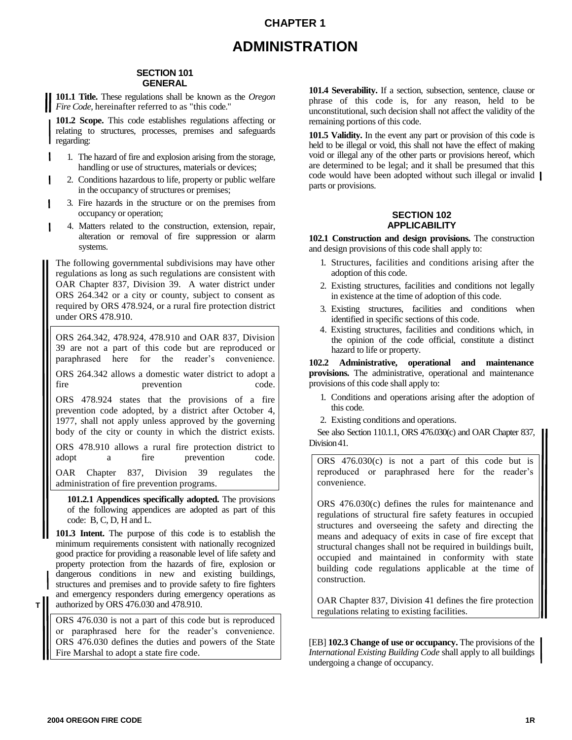# **ADMINISTRATION**

### **SECTION 101 GENERAL**

**101.1 Title.** These regulations shall be known as the *Oregon Fire Code*, hereinafter referred to as "this code."

**101.2 Scope.** This code establishes regulations affecting or relating to structures, processes, premises and safeguards regarding:

- 1. The hazard of fire and explosion arising from the storage, handling or use of structures, materials or devices;
- 2. Conditions hazardous to life, property or public welfare in the occupancy of structures or premises;
- 3. Fire hazards in the structure or on the premises from occupancy or operation;
- 4. Matters related to the construction, extension, repair, alteration or removal of fire suppression or alarm systems.

The following governmental subdivisions may have other regulations as long as such regulations are consistent with OAR Chapter 837, Division 39. A water district under ORS 264.342 or a city or county, subject to consent as required by ORS 478.924, or a rural fire protection district under ORS 478.910.

ORS 264.342, 478.924, 478.910 and OAR 837, Division 39 are not a part of this code but are reproduced or paraphrased here for the reader's convenience.

ORS 264.342 allows a domestic water district to adopt a fire prevention code.

ORS 478.924 states that the provisions of a fire prevention code adopted, by a district after October 4, 1977, shall not apply unless approved by the governing body of the city or county in which the district exists.

ORS 478.910 allows a rural fire protection district to adopt a fire prevention code.

OAR Chapter 837, Division 39 regulates the administration of fire prevention programs.

**101.2.1 Appendices specifically adopted.** The provisions of the following appendices are adopted as part of this code: B, C, D, H and L.

**101.3 Intent.** The purpose of this code is to establish the minimum requirements consistent with nationally recognized good practice for providing a reasonable level of life safety and property protection from the hazards of fire, explosion or dangerous conditions in new and existing buildings, structures and premises and to provide safety to fire fighters and emergency responders during emergency operations as authorized by ORS 476.030 and 478.910.

ORS 476.030 is not a part of this code but is reproduced or paraphrased here for the reader's convenience. ORS 476.030 defines the duties and powers of the State Fire Marshal to adopt a state fire code.

**101.4 Severability.** If a section, subsection, sentence, clause or phrase of this code is, for any reason, held to be unconstitutional, such decision shall not affect the validity of the remaining portions of this code.

**101.5 Validity.** In the event any part or provision of this code is held to be illegal or void, this shall not have the effect of making void or illegal any of the other parts or provisions hereof, which are determined to be legal; and it shall be presumed that this code would have been adopted without such illegal or invalid parts or provisions.

### **SECTION 102 APPLICABILITY**

**102.1 Construction and design provisions.** The construction and design provisions of this code shall apply to:

- 1. Structures, facilities and conditions arising after the adoption of this code.
- 2. Existing structures, facilities and conditions not legally in existence at the time of adoption of this code.
- 3. Existing structures, facilities and conditions when identified in specific sections of this code.
- 4. Existing structures, facilities and conditions which, in the opinion of the code official, constitute a distinct hazard to life or property.

**102.2 Administrative, operational and maintenance provisions.** The administrative, operational and maintenance provisions of this code shall apply to:

- 1. Conditions and operations arising after the adoption of this code.
- 2. Existing conditions and operations.

See also Section 110.1.1, ORS 476.030(c) and OAR Chapter 837, Division 41.

ORS 476.030(c) is not a part of this code but is reproduced or paraphrased here for the reader's convenience.

ORS 476.030(c) defines the rules for maintenance and regulations of structural fire safety features in occupied structures and overseeing the safety and directing the means and adequacy of exits in case of fire except that structural changes shall not be required in buildings built, occupied and maintained in conformity with state building code regulations applicable at the time of construction.

OAR Chapter 837, Division 41 defines the fire protection regulations relating to existing facilities.

[EB] **102.3 Change of use or occupancy.** The provisions of the *International Existing Building Code* shall apply to all buildings undergoing a change of occupancy.

**T**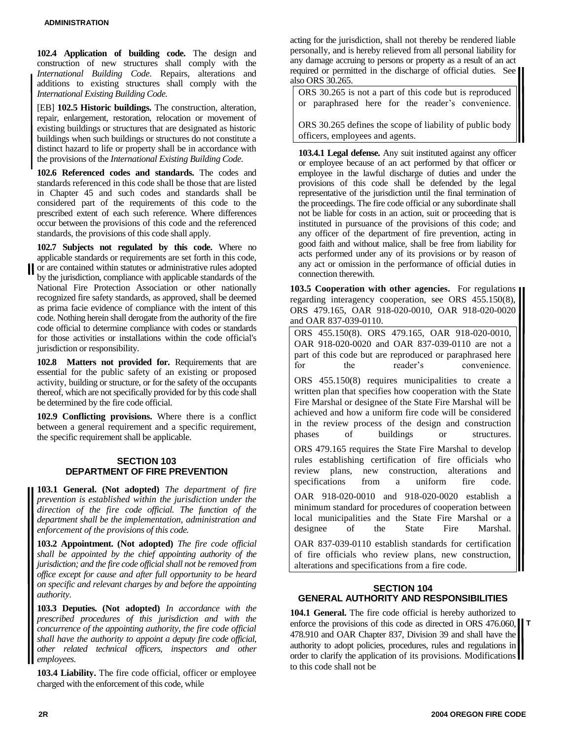**102.4 Application of building code.** The design and construction of new structures shall comply with the *International Building Code.* Repairs, alterations and additions to existing structures shall comply with the *International Existing Building Code.*

[EB] **102.5 Historic buildings.** The construction, alteration, repair, enlargement, restoration, relocation or movement of existing buildings or structures that are designated as historic buildings when such buildings or structures do not constitute a distinct hazard to life or property shall be in accordance with the provisions of the *International Existing Building Code.*

**102.6 Referenced codes and standards.** The codes and standards referenced in this code shall be those that are listed in Chapter 45 and such codes and standards shall be considered part of the requirements of this code to the prescribed extent of each such reference. Where differences occur between the provisions of this code and the referenced standards, the provisions of this code shall apply.

**102.7 Subjects not regulated by this code.** Where no applicable standards or requirements are set forth in this code, or are contained within statutes or administrative rules adopted by the jurisdiction, compliance with applicable standards of the National Fire Protection Association or other nationally recognized fire safety standards, as approved, shall be deemed as prima facie evidence of compliance with the intent of this code. Nothing herein shall derogate from the authority of the fire code official to determine compliance with codes or standards for those activities or installations within the code official's jurisdiction or responsibility.

**102.8 Matters not provided for.** Requirements that are essential for the public safety of an existing or proposed activity, building or structure, or for the safety of the occupants thereof, which are not specifically provided for by this code shall be determined by the fire code official.

**102.9 Conflicting provisions.** Where there is a conflict between a general requirement and a specific requirement, the specific requirement shall be applicable.

### **SECTION 103 DEPARTMENT OF FIRE PREVENTION**

**103.1 General. (Not adopted)** *The department of fire prevention is established within the jurisdiction under the direction of the fire code official. The function of the department shall be the implementation, administration and enforcement of the provisions of this code.*

**103.2 Appointment. (Not adopted)** *The fire code official shall be appointed by the chief appointing authority of the jurisdiction; and the fire code official shall not be removed from office except for cause and after full opportunity to be heard on specific and relevant charges by and before the appointing authority*.

**103.3 Deputies. (Not adopted)** *In accordance with the prescribed procedures of this jurisdiction and with the concurrence of the appointing authority, the fire code official shall have the authority to appoint a deputy fire code official, other related technical officers, inspectors and other employees.*

**103.4 Liability.** The fire code official, officer or employee charged with the enforcement of this code, while

acting for the jurisdiction, shall not thereby be rendered liable personally, and is hereby relieved from all personal liability for any damage accruing to persons or property as a result of an act required or permitted in the discharge of official duties. See also ORS 30.265.

ORS 30.265 is not a part of this code but is reproduced or paraphrased here for the reader's convenience.

ORS 30.265 defines the scope of liability of public body officers, employees and agents.

**103.4.1 Legal defense.** Any suit instituted against any officer or employee because of an act performed by that officer or employee in the lawful discharge of duties and under the provisions of this code shall be defended by the legal representative of the jurisdiction until the final termination of the proceedings. The fire code official or any subordinate shall not be liable for costs in an action, suit or proceeding that is instituted in pursuance of the provisions of this code; and any officer of the department of fire prevention, acting in good faith and without malice, shall be free from liability for acts performed under any of its provisions or by reason of any act or omission in the performance of official duties in connection therewith.

**103.5 Cooperation with other agencies.** For regulations regarding interagency cooperation, see ORS 455.150(8), ORS 479.165, OAR 918-020-0010, OAR 918-020-0020 and OAR 837-039-0110.

ORS 455.150(8). ORS 479.165, OAR 918-020-0010, OAR 918-020-0020 and OAR 837-039-0110 are not a part of this code but are reproduced or paraphrased here for the reader's convenience.

ORS 455.150(8) requires municipalities to create a written plan that specifies how cooperation with the State Fire Marshal or designee of the State Fire Marshal will be achieved and how a uniform fire code will be considered in the review process of the design and construction phases of buildings or structures.

ORS 479.165 requires the State Fire Marshal to develop rules establishing certification of fire officials who review plans, new construction, alterations and specifications from a uniform fire code.

OAR 918-020-0010 and 918-020-0020 establish a minimum standard for procedures of cooperation between local municipalities and the State Fire Marshal or a designee of the State Fire Marshal.

OAR 837-039-0110 establish standards for certification of fire officials who review plans, new construction, alterations and specifications from a fire code.

### **SECTION 104 GENERAL AUTHORITY AND RESPONSIBILITIES**

**104.1 General.** The fire code official is hereby authorized to enforce the provisions of this code as directed in ORS 476.060, **T**478.910 and OAR Chapter 837, Division 39 and shall have the authority to adopt policies, procedures, rules and regulations in order to clarify the application of its provisions. Modifications to this code shall not be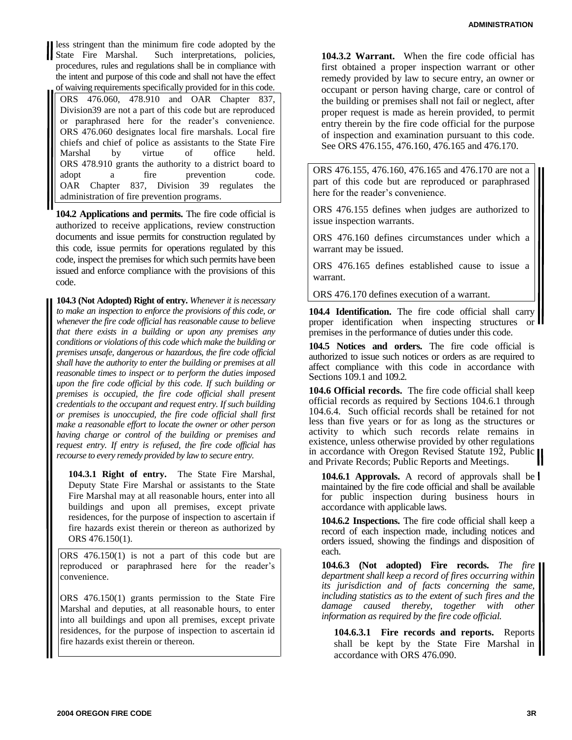less stringent than the minimum fire code adopted by the State Fire Marshal. Such interpretations, policies, procedures, rules and regulations shall be in compliance with the intent and purpose of this code and shall not have the effect of waiving requirements specifically provided for in this code.

ORS 476.060, 478.910 and OAR Chapter 837, Division39 are not a part of this code but are reproduced or paraphrased here for the reader's convenience. ORS 476.060 designates local fire marshals. Local fire chiefs and chief of police as assistants to the State Fire Marshal by virtue of office held. ORS 478.910 grants the authority to a district board to adopt a fire prevention code. OAR Chapter 837, Division 39 regulates the administration of fire prevention programs.

**104.2 Applications and permits.** The fire code official is authorized to receive applications, review construction documents and issue permits for construction regulated by this code, issue permits for operations regulated by this code, inspect the premises for which such permits have been issued and enforce compliance with the provisions of this code.

**104.3 (Not Adopted) Right of entry.** *Whenever it is necessary to make an inspection to enforce the provisions of this code, or whenever the fire code official has reasonable cause to believe that there exists in a building or upon any premises any conditions or violations of this code which make the building or premises unsafe, dangerous or hazardous, the fire code official shall have the authority to enter the building or premises at all reasonable times to inspect or to perform the duties imposed upon the fire code official by this code. If such building or premises is occupied, the fire code official shall present credentials to the occupant and request entry. If such building or premises is unoccupied, the fire code official shall first make a reasonable effort to locate the owner or other person having charge or control of the building or premises and request entry. If entry is refused, the fire code official has recourse to every remedy provided by law to secure entry.*

**104.3.1 Right of entry.** The State Fire Marshal, Deputy State Fire Marshal or assistants to the State Fire Marshal may at all reasonable hours, enter into all buildings and upon all premises, except private residences, for the purpose of inspection to ascertain if fire hazards exist therein or thereon as authorized by ORS 476.150(1).

ORS 476.150(1) is not a part of this code but are reproduced or paraphrased here for the reader's convenience.

ORS 476.150(1) grants permission to the State Fire Marshal and deputies, at all reasonable hours, to enter into all buildings and upon all premises, except private residences, for the purpose of inspection to ascertain id fire hazards exist therein or thereon.

**104.3.2 Warrant.** When the fire code official has first obtained a proper inspection warrant or other remedy provided by law to secure entry, an owner or occupant or person having charge, care or control of the building or premises shall not fail or neglect, after proper request is made as herein provided, to permit entry therein by the fire code official for the purpose of inspection and examination pursuant to this code. See ORS 476.155, 476.160, 476.165 and 476.170.

ORS 476.155, 476.160, 476.165 and 476.170 are not a part of this code but are reproduced or paraphrased here for the reader's convenience.

ORS 476.155 defines when judges are authorized to issue inspection warrants.

ORS 476.160 defines circumstances under which a warrant may be issued.

ORS 476.165 defines established cause to issue a warrant.

ORS 476.170 defines execution of a warrant.

**104.4 Identification.** The fire code official shall carry proper identification when inspecting structures or II premises in the performance of duties under this code.

**104.5 Notices and orders.** The fire code official is authorized to issue such notices or orders as are required to affect compliance with this code in accordance with Sections 109.1 and 109.2.

**104.6 Official records.** The fire code official shall keep official records as required by Sections 104.6.1 through 104.6.4. Such official records shall be retained for not less than five years or for as long as the structures or activity to which such records relate remains in existence, unless otherwise provided by other regulations in accordance with Oregon Revised Statute 192, Public and Private Records; Public Reports and Meetings.

**104.6.1 Approvals.** A record of approvals shall be maintained by the fire code official and shall be available for public inspection during business hours in accordance with applicable laws.

**104.6.2 Inspections.** The fire code official shall keep a record of each inspection made, including notices and orders issued, showing the findings and disposition of each.

**104.6.3 (Not adopted) Fire records.** *The fire department shall keep a record of fires occurring within its jurisdiction and of facts concerning the same, including statistics as to the extent of such fires and the damage caused thereby, together with other information as required by the fire code official.*

**104.6.3.1 Fire records and reports.** Reports shall be kept by the State Fire Marshal in accordance with ORS 476.090.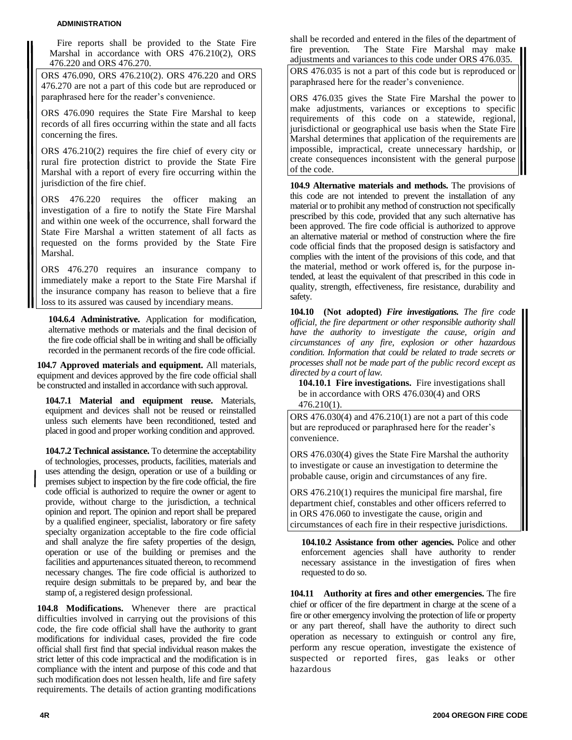#### **ADMINISTRATION**

 Fire reports shall be provided to the State Fire Marshal in accordance with ORS 476.210(2), ORS 476.220 and ORS 476.270.

ORS 476.090, ORS 476.210(2). ORS 476.220 and ORS 476.270 are not a part of this code but are reproduced or paraphrased here for the reader's convenience.

ORS 476.090 requires the State Fire Marshal to keep records of all fires occurring within the state and all facts concerning the fires.

ORS 476.210(2) requires the fire chief of every city or rural fire protection district to provide the State Fire Marshal with a report of every fire occurring within the jurisdiction of the fire chief.

ORS 476.220 requires the officer making an investigation of a fire to notify the State Fire Marshal and within one week of the occurrence, shall forward the State Fire Marshal a written statement of all facts as requested on the forms provided by the State Fire Marshal.

ORS 476.270 requires an insurance company to immediately make a report to the State Fire Marshal if the insurance company has reason to believe that a fire loss to its assured was caused by incendiary means.

**104.6.4 Administrative.** Application for modification, alternative methods or materials and the final decision of the fire code official shall be in writing and shall be officially recorded in the permanent records of the fire code official.

**104.7 Approved materials and equipment.** All materials, equipment and devices approved by the fire code official shall be constructed and installed in accordance with such approval.

**104.7.1 Material and equipment reuse.** Materials, equipment and devices shall not be reused or reinstalled unless such elements have been reconditioned, tested and placed in good and proper working condition and approved.

**104.7.2 Technical assistance.** To determine the acceptability of technologies, processes, products, facilities, materials and uses attending the design, operation or use of a building or premises subject to inspection by the fire code official, the fire code official is authorized to require the owner or agent to provide, without charge to the jurisdiction, a technical opinion and report. The opinion and report shall be prepared by a qualified engineer, specialist, laboratory or fire safety specialty organization acceptable to the fire code official and shall analyze the fire safety properties of the design, operation or use of the building or premises and the facilities and appurtenances situated thereon, to recommend necessary changes. The fire code official is authorized to require design submittals to be prepared by, and bear the stamp of, a registered design professional.

**104.8 Modifications.** Whenever there are practical difficulties involved in carrying out the provisions of this code, the fire code official shall have the authority to grant modifications for individual cases, provided the fire code official shall first find that special individual reason makes the strict letter of this code impractical and the modification is in compliance with the intent and purpose of this code and that such modification does not lessen health, life and fire safety requirements. The details of action granting modifications

shall be recorded and entered in the files of the department of fire prevention. The State Fire Marshal may make adjustments and variances to this code under ORS 476.035.

ORS 476.035 is not a part of this code but is reproduced or paraphrased here for the reader's convenience.

ORS 476.035 gives the State Fire Marshal the power to make adjustments, variances or exceptions to specific requirements of this code on a statewide, regional, jurisdictional or geographical use basis when the State Fire Marshal determines that application of the requirements are impossible, impractical, create unnecessary hardship, or create consequences inconsistent with the general purpose of the code.

**104.9 Alternative materials and methods.** The provisions of this code are not intended to prevent the installation of any material or to prohibit any method of construction not specifically prescribed by this code, provided that any such alternative has been approved. The fire code official is authorized to approve an alternative material or method of construction where the fire code official finds that the proposed design is satisfactory and complies with the intent of the provisions of this code, and that the material, method or work offered is, for the purpose intended, at least the equivalent of that prescribed in this code in quality, strength, effectiveness, fire resistance, durability and safety.

**104.10 (Not adopted)** *Fire investigations. The fire code official, the fire department or other responsible authority shall have the authority to investigate the cause, origin and circumstances of any fire, explosion or other hazardous condition. Information that could be related to trade secrets or processes shall not be made part of the public record except as directed by a court of law.*

**104.10.1 Fire investigations.** Fire investigations shall be in accordance with ORS 476.030(4) and ORS 476.210(1).

ORS 476.030(4) and 476.210(1) are not a part of this code but are reproduced or paraphrased here for the reader's convenience.

ORS 476.030(4) gives the State Fire Marshal the authority to investigate or cause an investigation to determine the probable cause, origin and circumstances of any fire.

ORS 476.210(1) requires the municipal fire marshal, fire department chief, constables and other officers referred to in ORS 476.060 to investigate the cause, origin and circumstances of each fire in their respective jurisdictions.

**104.10.2 Assistance from other agencies.** Police and other enforcement agencies shall have authority to render necessary assistance in the investigation of fires when requested to do so.

**104.11 Authority at fires and other emergencies.** The fire chief or officer of the fire department in charge at the scene of a fire or other emergency involving the protection of life or property or any part thereof, shall have the authority to direct such operation as necessary to extinguish or control any fire, perform any rescue operation, investigate the existence of suspected or reported fires, gas leaks or other hazardous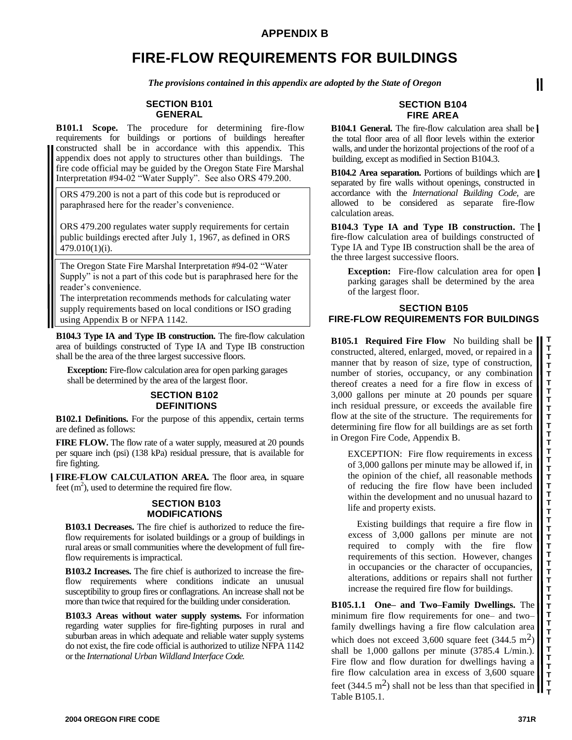# **APPENDIX B**

# **FIRE-FLOW REQUIREMENTS FOR BUILDINGS**

*The provisions contained in this appendix are adopted by the State of Oregon*

### **SECTION B101 GENERAL**

**B101.1 Scope.** The procedure for determining fire-flow requirements for buildings or portions of buildings hereafter constructed shall be in accordance with this appendix. This appendix does not apply to structures other than buildings. The fire code official may be guided by the Oregon State Fire Marshal Interpretation #94-02 "Water Supply". See also ORS 479.200.

ORS 479.200 is not a part of this code but is reproduced or paraphrased here for the reader's convenience.

ORS 479.200 regulates water supply requirements for certain public buildings erected after July 1, 1967, as defined in ORS 479.010(1)(i).

The Oregon State Fire Marshal Interpretation #94-02 "Water Supply" is not a part of this code but is paraphrased here for the reader's convenience.

The interpretation recommends methods for calculating water supply requirements based on local conditions or ISO grading using Appendix B or NFPA 1142.

**B104.3 Type IA and Type IB construction.** The fire-flow calculation area of buildings constructed of Type IA and Type IB construction shall be the area of the three largest successive floors.

**Exception:** Fire-flow calculation area for open parking garages shall be determined by the area of the largest floor.

## **SECTION B102 DEFINITIONS**

**B102.1 Definitions.** For the purpose of this appendix, certain terms are defined as follows:

**FIRE FLOW.** The flow rate of a water supply, measured at 20 pounds per square inch (psi) (138 kPa) residual pressure, that is available for fire fighting.

**FIRE-FLOW CALCULATION AREA.** The floor area, in square feet  $(m<sup>2</sup>)$ , used to determine the required fire flow.

### **SECTION B103 MODIFICATIONS**

**B103.1 Decreases.** The fire chief is authorized to reduce the fireflow requirements for isolated buildings or a group of buildings in rural areas or small communities where the development of full fireflow requirements is impractical.

**B103.2 Increases.** The fire chief is authorized to increase the fireflow requirements where conditions indicate an unusual susceptibility to group fires or conflagrations. An increase shall not be more than twice that required for the building under consideration.

**B103.3 Areas without water supply systems.** For information regarding water supplies for fire-fighting purposes in rural and suburban areas in which adequate and reliable water supply systems do not exist, the fire code official is authorized to utilize NFPA 1142 or the *International Urban Wildland Interface Code.*

# **SECTION B104 FIRE AREA**

**B104.1 General.** The fire-flow calculation area shall be the total floor area of all floor levels within the exterior walls, and under the horizontal projections of the roof of a building, except as modified in Section B104.3.

**B104.2 Area separation.** Portions of buildings which are separated by fire walls without openings, constructed in accordance with the *International Building Code,* are allowed to be considered as separate fire-flow calculation areas.

**B104.3 Type IA and Type IB construction.** The fire-flow calculation area of buildings constructed of Type IA and Type IB construction shall be the area of the three largest successive floors.

**Exception:** Fire-flow calculation area for open parking garages shall be determined by the area of the largest floor.

## **SECTION B105 FIRE-FLOW REQUIREMENTS FOR BUILDINGS**

**B105.1 Required Fire Flow** No building shall be constructed, altered, enlarged, moved, or repaired in a manner that by reason of size, type of construction, number of stories, occupancy, or any combination thereof creates a need for a fire flow in excess of 3,000 gallons per minute at 20 pounds per square inch residual pressure, or exceeds the available fire flow at the site of the structure. The requirements for determining fire flow for all buildings are as set forth in Oregon Fire Code, Appendix B.

EXCEPTION:Fire flow requirements in excess of 3,000 gallons per minute may be allowed if, in the opinion of the chief, all reasonable methods of reducing the fire flow have been included within the development and no unusual hazard to life and property exists.

Existing buildings that require a fire flow in excess of 3,000 gallons per minute are not required to comply with the fire flow requirements of this section. However, changes in occupancies or the character of occupancies, alterations, additions or repairs shall not further increase the required fire flow for buildings.

**B105.1.1 One– and Two–Family Dwellings.** The minimum fire flow requirements for one– and two– family dwellings having a fire flow calculation area

which does not exceed 3,600 square feet  $(344.5 \text{ m}^2)$ shall be 1,000 gallons per minute (3785.4 L/min.). Fire flow and flow duration for dwellings having a fire flow calculation area in excess of 3,600 square feet (344.5  $m<sup>2</sup>$ ) shall not be less than that specified in Table B105.1.

 $\mathbf{\mathsf{I}}$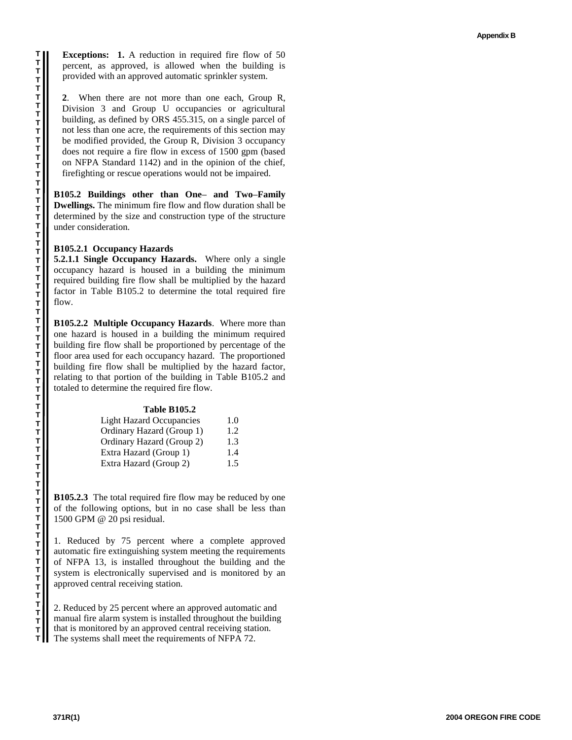**TTTTTTTTTTTTTTTTTTTTTTTTTTTTTTTTTTTTTTTTTTTTTTTTTTTTTTTTTTTTTTTTTTTTT**T  $\mathbf T$ **TTTTTTTTTTTTTTTTTTTT** T<br>T<br>T<br>T  $\frac{\mathsf{T}}{\mathsf{T}}$  $\frac{\mathsf{T}}{\mathsf{T}}$ T<br>T<br>T  $\mathbf T$ T<br>T<br>T  $\mathbf T$ T<br>T<br>T T<br>T<br>T<br>T<br>T<br>T  $\mathsf T$  $\mathbf{r}$  $\mathbf T$  $\mathbf T$ 

**Exceptions: 1.** A reduction in required fire flow of 50 percent, as approved, is allowed when the building is provided with an approved automatic sprinkler system.

**2**. When there are not more than one each, Group R, Division 3 and Group U occupancies or agricultural building, as defined by ORS 455.315, on a single parcel of not less than one acre, the requirements of this section may be modified provided, the Group R, Division 3 occupancy does not require a fire flow in excess of 1500 gpm (based on NFPA Standard 1142) and in the opinion of the chief, firefighting or rescue operations would not be impaired.

**B105.2 Buildings other than One – and Two –Family Dwellings.** The minimum fire flow and flow duration shall be determined by the size and construction type of the structure under consideration.

## **B105.2.1 Occupancy Hazards**

**5.2.1.1 Single Occupancy Hazards.** Where only a single occupancy hazard is housed in a building the minimum required building fire flow shall be multiplied by the hazard factor in Table B105.2 to determine the total required fire flow.

**B105.2.2 Multiple Occupancy Hazards** . Where more than one hazard is housed in a building the minimum required building fire flow shall be proportioned by percentage of the floor area used for each occupancy hazard. The proportioned building fire flow shall be multiplied by the hazard factor, relating to that portion of the building in Table B105.2 and totaled to determine the required fire flow.

### **Table B105.2**

| <b>Light Hazard Occupancies</b> | 1.0 |
|---------------------------------|-----|
| Ordinary Hazard (Group 1)       | 1.2 |
| Ordinary Hazard (Group 2)       | 1.3 |
| Extra Hazard (Group 1)          | 1.4 |
| Extra Hazard (Group 2)          | 1.5 |

**B105.2.3** The total required fire flow may be reduced by one of the following options, but in no case shall be less than 1500 GPM @ 20 psi residual.

1. Reduced by 75 percent where a complete approved automatic fire extinguishing system meeting the requirements of NFPA 13, is installed throughout the building and the system is electronically supervised and is monitored by an approved central receiving station.

2. Reduced by 25 percent where an approved automatic and manual fire alarm system is installed throughout the building that is monitored by an approved central receiving station. The systems shall meet the requirements of NFPA 72.

тH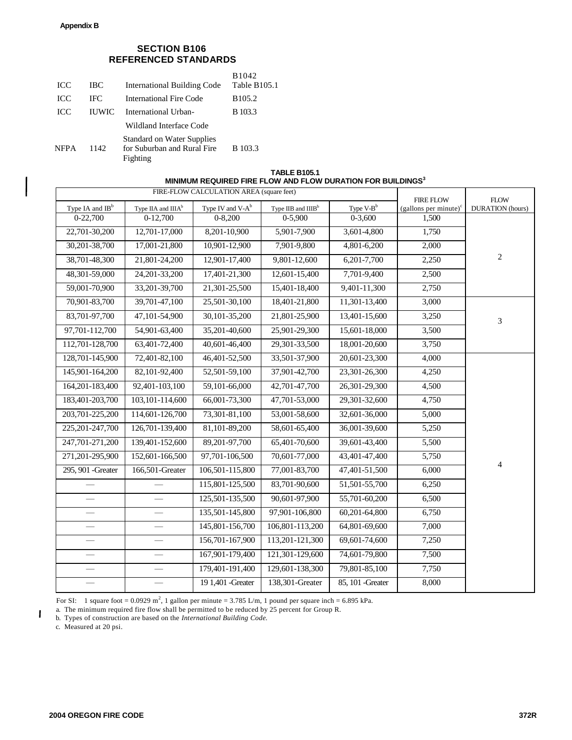## **SECTION B106 REFERENCED STANDARDS**

| ICC         | IBC.         | <b>International Building Code</b>                                           | B <sub>1042</sub><br>Table B105.1 |
|-------------|--------------|------------------------------------------------------------------------------|-----------------------------------|
| ICC         | IFC.         | International Fire Code                                                      | B <sub>105.2</sub>                |
| ICC         | <b>IUWIC</b> | International Urban-                                                         | <b>B</b> 103.3                    |
|             |              | Wildland Interface Code                                                      |                                   |
| <b>NFPA</b> | 1142.        | <b>Standard on Water Supplies</b><br>for Suburban and Rural Fire<br>Fighting | <b>B</b> 103.3                    |

| <b>TABLE B105.1</b>                                                     |
|-------------------------------------------------------------------------|
| MINIMUM REQUIRED FIRE FLOW AND FLOW DURATION FOR BUILDINGS <sup>3</sup> |

| FIRE-FLOW CALCULATION AREA (square feet) |                                |                              |                                | <b>FIRE FLOW</b>      | ${\rm FLOW}$                      |                         |
|------------------------------------------|--------------------------------|------------------------------|--------------------------------|-----------------------|-----------------------------------|-------------------------|
| Type IA and IB <sup>b</sup>              | Type IIA and IIIA <sup>b</sup> | Type IV and V-A <sup>b</sup> | Type IIB and IIIB <sup>b</sup> | Type V-B <sup>b</sup> | (gallons per minute) <sup>c</sup> | <b>DURATION</b> (hours) |
| $0-22,700$                               | $0-12,700$                     | $0 - 8,200$                  | $0-5,900$                      | $0 - 3,600$           | 1,500                             |                         |
| 22,701-30,200                            | 12,701-17,000                  | 8,201-10,900                 | 5,901-7,900                    | 3,601-4,800           | 1,750                             |                         |
| 30,201-38,700                            | 17,001-21,800                  | 10,901-12,900                | 7,901-9,800                    | 4,801-6,200           | 2,000                             |                         |
| 38,701-48,300                            | 21,801-24,200                  | 12,901-17,400                | 9,801-12,600                   | $6,201-7,700$         | 2,250                             | $\overline{c}$          |
| 48,301-59,000                            | 24, 201-33, 200                | 17,401-21,300                | 12,601-15,400                  | 7,701-9,400           | 2,500                             |                         |
| 59,001-70,900                            | 33,201-39,700                  | 21,301-25,500                | 15,401-18,400                  | $9,401-11,300$        | 2,750                             |                         |
| 70,901-83,700                            | 39,701-47,100                  | 25,501-30,100                | 18,401-21,800                  | 11,301-13,400         | 3,000                             |                         |
| 83,701-97,700                            | 47,101-54,900                  | 30,101-35,200                | 21,801-25,900                  | 13,401-15,600         | 3,250                             | 3                       |
| 97,701-112,700                           | 54,901-63,400                  | 35,201-40,600                | 25,901-29,300                  | 15,601-18,000         | 3,500                             |                         |
| 112,701-128,700                          | 63,401-72,400                  | 40,601-46,400                | 29,301-33,500                  | 18,001-20,600         | 3,750                             |                         |
| 128,701-145,900                          | 72,401-82,100                  | 46,401-52,500                | 33,501-37,900                  | 20,601-23,300         | 4,000                             |                         |
| 145,901-164,200                          | 82,101-92,400                  | 52,501-59,100                | 37,901-42,700                  | 23,301-26,300         | 4,250                             |                         |
| 164, 201 - 183, 400                      | 92,401-103,100                 | 59,101-66,000                | 42,701-47,700                  | 26,301-29,300         | 4,500                             |                         |
| 183,401-203,700                          | 103, 101-114, 600              | 66,001-73,300                | 47,701-53,000                  | 29,301-32,600         | 4,750                             |                         |
| 203,701-225,200                          | 114,601-126,700                | 73,301-81,100                | 53,001-58,600                  | 32,601-36,000         | 5,000                             |                         |
| 225, 201-247, 700                        | 126,701-139,400                | 81,101-89,200                | 58,601-65,400                  | 36,001-39,600         | 5,250                             |                         |
| 247,701-271,200                          | 139,401-152,600                | 89,201-97,700                | 65,401-70,600                  | 39,601-43,400         | 5,500                             |                         |
| 271,201-295,900                          | 152,601-166,500                | 97,701-106,500               | 70,601-77,000                  | 43,401-47,400         | 5,750                             | $\overline{4}$          |
| 295, 901 - Greater                       | 166,501-Greater                | 106,501-115,800              | 77,001-83,700                  | 47,401-51,500         | 6,000                             |                         |
|                                          |                                | 115,801-125,500              | 83,701-90,600                  | 51,501-55,700         | 6,250                             |                         |
| $\overline{\phantom{0}}$                 | $\equiv$                       | 125,501-135,500              | 90,601-97,900                  | 55,701-60,200         | 6,500                             |                         |
|                                          |                                | 135,501-145,800              | 97,901-106,800                 | 60,201-64,800         | 6,750                             |                         |
|                                          |                                | 145,801-156,700              | 106,801-113,200                | 64,801-69,600         | 7,000                             |                         |
| $\equiv$                                 |                                | 156,701-167,900              | 113,201-121,300                | 69,601-74,600         | 7,250                             |                         |
|                                          | $\equiv$                       | 167,901-179,400              | 121,301-129,600                | 74,601-79,800         | 7,500                             |                         |
| $\equiv$                                 | $\overline{\phantom{0}}$       | 179,401-191,400              | 129,601-138,300                | 79,801-85,100         | 7,750                             |                         |
|                                          |                                | 19 1,401 - Greater           | 138,301-Greater                | 85, 101 - Greater     | 8,000                             |                         |

For SI: 1 square foot =  $0.0929 \text{ m}^2$ , 1 gallon per minute =  $3.785 \text{ L/m}$ , 1 pound per square inch =  $6.895 \text{ kPa}$ .

a. The minimum required fire flow shall be permitted to be reduced by 25 percent for Group R.

b. Types of construction are based on the *International Building Code.*

c. Measured at 20 psi.

I